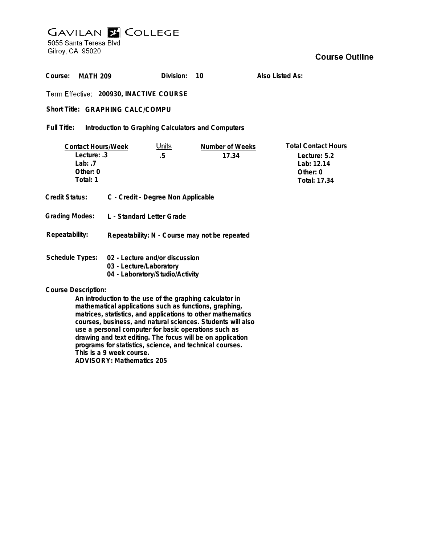# **GAVILAN E COLLEGE**<br>5055 Santa Teresa Blvd

Gilroy, CA 95020

| Course:<br><b>MATH 209</b>                                                                                                                                                                                                                                                                                                             |                                                                                              | Division:          | 10                              | Also Listed As:                                                                      |
|----------------------------------------------------------------------------------------------------------------------------------------------------------------------------------------------------------------------------------------------------------------------------------------------------------------------------------------|----------------------------------------------------------------------------------------------|--------------------|---------------------------------|--------------------------------------------------------------------------------------|
| Term Effective: 200930, INACTIVE COURSE                                                                                                                                                                                                                                                                                                |                                                                                              |                    |                                 |                                                                                      |
| Short Title: GRAPHING CALC/COMPU                                                                                                                                                                                                                                                                                                       |                                                                                              |                    |                                 |                                                                                      |
| Full Title:<br>Introduction to Graphing Calculators and Computers                                                                                                                                                                                                                                                                      |                                                                                              |                    |                                 |                                                                                      |
| <b>Contact Hours/Week</b><br>Lecture: .3<br>Lab: $.7$<br>Other: 0<br>Total: 1                                                                                                                                                                                                                                                          |                                                                                              | <u>Units</u><br>.5 | <b>Number of Weeks</b><br>17.34 | <b>Total Contact Hours</b><br>Lecture: 5.2<br>Lab: 12.14<br>Other: 0<br>Total: 17.34 |
| Credit Status:                                                                                                                                                                                                                                                                                                                         | C - Credit - Degree Non Applicable                                                           |                    |                                 |                                                                                      |
| <b>Grading Modes:</b>                                                                                                                                                                                                                                                                                                                  | L - Standard Letter Grade                                                                    |                    |                                 |                                                                                      |
| Repeatability:                                                                                                                                                                                                                                                                                                                         | Repeatability: N - Course may not be repeated                                                |                    |                                 |                                                                                      |
| <b>Schedule Types:</b>                                                                                                                                                                                                                                                                                                                 | 02 - Lecture and/or discussion<br>03 - Lecture/Laboratory<br>04 - Laboratory/Studio/Activity |                    |                                 |                                                                                      |
| <b>Course Description:</b><br>An introduction to the use of the graphing calculator in<br>mathematical applications such as functions, graphing,<br>matrices, statistics, and applications to other mathematics<br>courses, business, and natural sciences. Students will also<br>use a personal computer for basic operations such as |                                                                                              |                    |                                 |                                                                                      |

**programs for statistics, science, and technical courses. This is a 9 week course.**

**ADVISORY: Mathematics 205**

**drawing and text editing. The focus will be on application**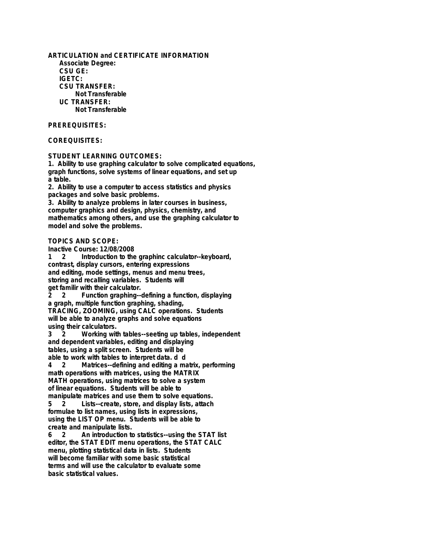**ARTICULATION and CERTIFICATE INFORMATION Associate Degree: CSU GE: IGETC: CSU TRANSFER: Not Transferable UC TRANSFER: Not Transferable**

### **PREREQUISITES:**

### **COREQUISITES:**

**STUDENT LEARNING OUTCOMES:**

**1. Ability to use graphing calculator to solve complicated equations, graph functions, solve systems of linear equations, and set up a table.**

**2. Ability to use a computer to access statistics and physics packages and solve basic problems.**

**3. Ability to analyze problems in later courses in business, computer graphics and design, physics, chemistry, and mathematics among others, and use the graphing calculator to model and solve the problems.**

**TOPICS AND SCOPE:**

**Inactive Course: 12/08/2008**

Introduction to the graphinc calculator--keyboard, **contrast, display cursors, entering expressions and editing, mode settings, menus and menu trees, storing and recalling variables. Students will get familir with their calculator.**

**2 2 Function graphing--defining a function, displaying a graph, multiple function graphing, shading, TRACING, ZOOMING, using CALC operations. Students will be able to analyze graphs and solve equations using their calculators.**

**3 2 Working with tables--seeting up tables, independent and dependent variables, editing and displaying tables, using a split screen. Students will be able to work with tables to interpret data. d d**

**4 2 Matrices--defining and editing a matrix, performing math operations with matrices, using the MATRIX MATH operations, using matrices to solve a system of linear equations. Students will be able to manipulate matrices and use them to solve equations.**

**5 2 Lists--create, store, and display lists, attach formulae to list names, using lists in expressions, using the LIST OP menu. Students will be able to create and manipulate lists.**

**6 2 An introduction to statistics--using the STAT list editor, the STAT EDIT menu operations, the STAT CALC menu, plotting statistical data in lists. Students will become familiar with some basic statistical terms and will use the calculator to evaluate some basic statistical values.**